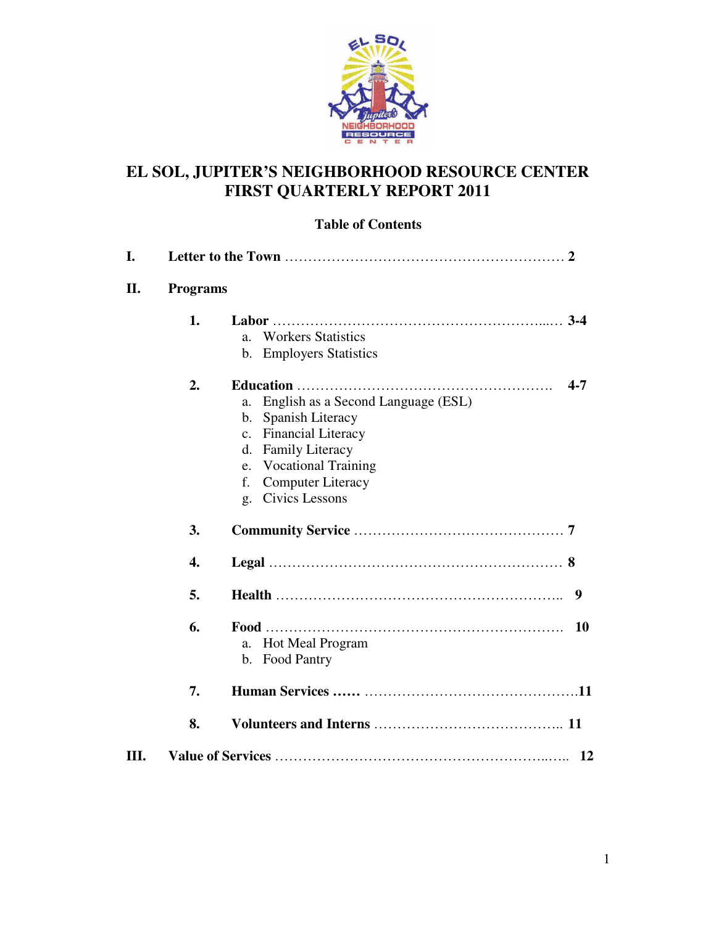

### **EL SOL, JUPITER'S NEIGHBORHOOD RESOURCE CENTER FIRST QUARTERLY REPORT 2011**

#### **Table of Contents**

| <b>Programs</b> |                                               |
|-----------------|-----------------------------------------------|
| 1.              |                                               |
|                 | <b>Workers Statistics</b><br>a <sub>z</sub>   |
|                 | <b>Employers Statistics</b><br>$\mathbf{b}$ . |
| 2.              | $4 - 7$                                       |
|                 | English as a Second Language (ESL)<br>a.      |
|                 | Spanish Literacy<br>b.                        |
|                 | <b>Financial Literacy</b><br>$c_{\cdot}$      |
|                 | <b>Family Literacy</b><br>d.                  |
|                 | <b>Vocational Training</b><br>e.              |
|                 | <b>Computer Literacy</b><br>f.                |
|                 | Civics Lessons<br>g.                          |
| 3.              |                                               |
| 4.              |                                               |
| 5.              | 9                                             |
| 6.              | <b>10</b>                                     |
|                 | <b>Hot Meal Program</b><br>a.                 |
|                 | b. Food Pantry                                |
| 7.              |                                               |
| 8.              |                                               |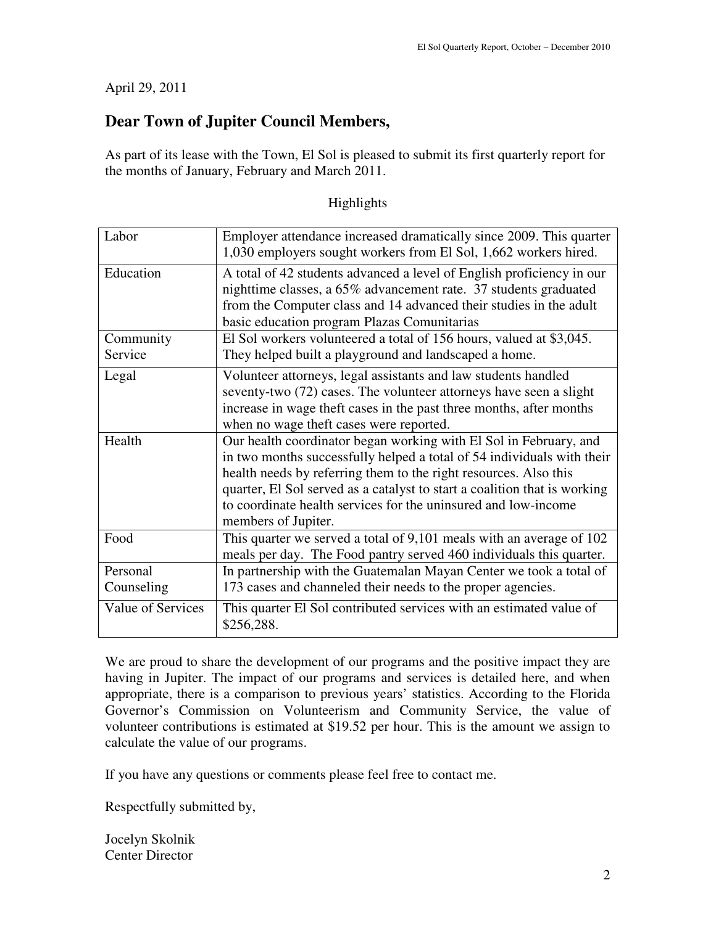#### April 29, 2011

### **Dear Town of Jupiter Council Members,**

As part of its lease with the Town, El Sol is pleased to submit its first quarterly report for the months of January, February and March 2011.

#### Highlights

| Labor             | Employer attendance increased dramatically since 2009. This quarter       |
|-------------------|---------------------------------------------------------------------------|
|                   |                                                                           |
|                   | 1,030 employers sought workers from El Sol, 1,662 workers hired.          |
| Education         | A total of 42 students advanced a level of English proficiency in our     |
|                   | nighttime classes, a 65% advancement rate. 37 students graduated          |
|                   | from the Computer class and 14 advanced their studies in the adult        |
|                   | basic education program Plazas Comunitarias                               |
| Community         | El Sol workers volunteered a total of 156 hours, valued at \$3,045.       |
| Service           | They helped built a playground and landscaped a home.                     |
| Legal             | Volunteer attorneys, legal assistants and law students handled            |
|                   | seventy-two (72) cases. The volunteer attorneys have seen a slight        |
|                   | increase in wage theft cases in the past three months, after months       |
|                   | when no wage theft cases were reported.                                   |
| Health            | Our health coordinator began working with El Sol in February, and         |
|                   | in two months successfully helped a total of 54 individuals with their    |
|                   | health needs by referring them to the right resources. Also this          |
|                   | quarter, El Sol served as a catalyst to start a coalition that is working |
|                   | to coordinate health services for the uninsured and low-income            |
|                   | members of Jupiter.                                                       |
| Food              | This quarter we served a total of 9,101 meals with an average of 102      |
|                   | meals per day. The Food pantry served 460 individuals this quarter.       |
| Personal          | In partnership with the Guatemalan Mayan Center we took a total of        |
| Counseling        | 173 cases and channeled their needs to the proper agencies.               |
| Value of Services | This quarter El Sol contributed services with an estimated value of       |
|                   | \$256,288.                                                                |

We are proud to share the development of our programs and the positive impact they are having in Jupiter. The impact of our programs and services is detailed here, and when appropriate, there is a comparison to previous years' statistics. According to the Florida Governor's Commission on Volunteerism and Community Service, the value of volunteer contributions is estimated at \$19.52 per hour. This is the amount we assign to calculate the value of our programs.

If you have any questions or comments please feel free to contact me.

Respectfully submitted by,

Jocelyn Skolnik Center Director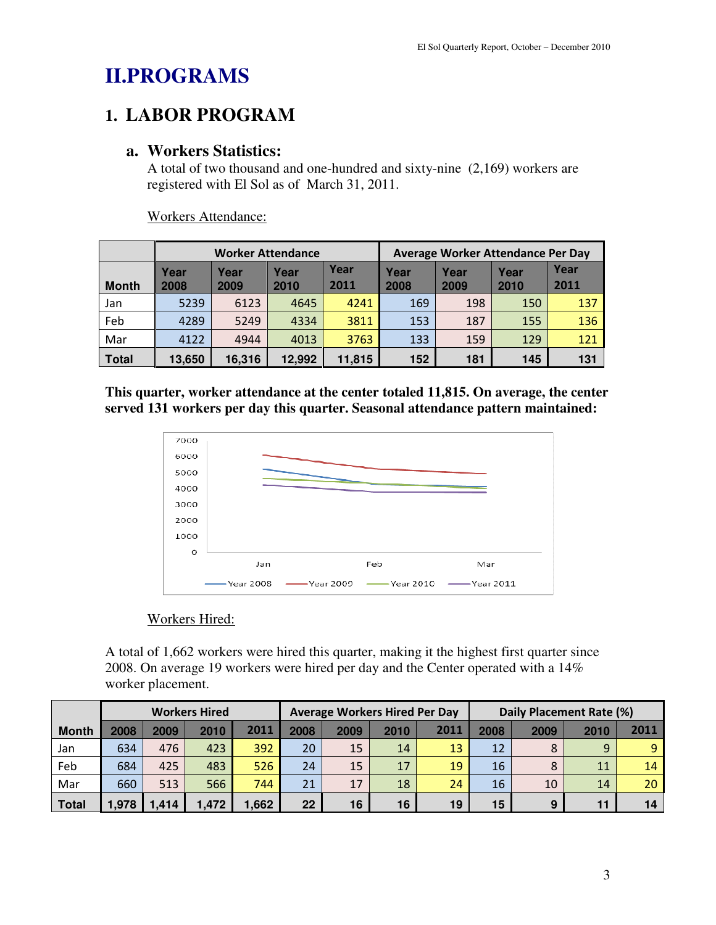# **II.PROGRAMS**

 $\overline{a}$ 

## **1. LABOR PROGRAM**

#### **a. Workers Statistics:**

A total of two thousand and one-hundred and sixty-nine (2,169) workers are registered with El Sol as of March 31, 2011.

Workers Attendance:

|              |              |              | <b>Worker Attendance</b> |              |              |              | Average Worker Attendance Per Day |              |
|--------------|--------------|--------------|--------------------------|--------------|--------------|--------------|-----------------------------------|--------------|
| <b>Month</b> | Year<br>2008 | Year<br>2009 | Year<br>2010             | Year<br>2011 | Year<br>2008 | Year<br>2009 | Year<br>2010                      | Year<br>2011 |
| Jan          | 5239         | 6123         | 4645                     | 4241         | 169          | 198          | 150                               | 137          |
| Feb          | 4289         | 5249         | 4334                     | 3811         | 153          | 187          | 155                               | 136          |
| Mar          | 4122         | 4944         | 4013                     | 3763         | 133          | 159          | 129                               | 121          |
| <b>Total</b> | 13,650       | 16,316       | 12,992                   | 11,815       | 152          | 181          | 145                               | 131          |

**This quarter, worker attendance at the center totaled 11,815. On average, the center served 131 workers per day this quarter. Seasonal attendance pattern maintained:** 



#### Workers Hired:

A total of 1,662 workers were hired this quarter, making it the highest first quarter since 2008. On average 19 workers were hired per day and the Center operated with a 14% worker placement.

|              |      | <b>Workers Hired</b> |       |      |      | <b>Average Workers Hired Per Day</b> |      |      |      |      | Daily Placement Rate (%) |      |
|--------------|------|----------------------|-------|------|------|--------------------------------------|------|------|------|------|--------------------------|------|
| <b>Month</b> | 2008 | 2009                 | 2010  | 2011 | 2008 | 2009                                 | 2010 | 2011 | 2008 | 2009 | 2010                     | 2011 |
| Jan          | 634  | 476                  | 423   | 392  | 20   | 15                                   | 14   | 13   | 12   | 8    | 9                        | 9    |
| Feb          | 684  | 425                  | 483   | 526  | 24   | 15                                   | 17   | 19   | 16   | 8    | 11                       | 14   |
| Mar          | 660  | 513                  | 566   | 744  | 21   | 17                                   | 18   | 24   | 16   | 10   | 14                       | 20   |
| <b>Total</b> | .978 | .414                 | 1,472 | .662 | 22   | 16                                   | 16   | 19   | 15   | 9    |                          | 14   |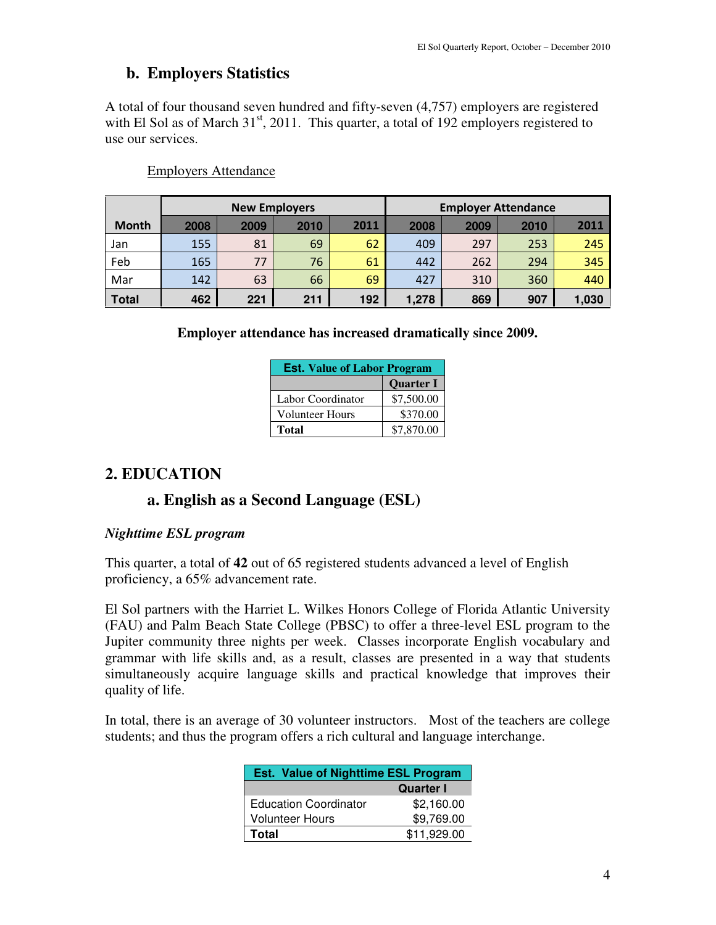### **b. Employers Statistics**

A total of four thousand seven hundred and fifty-seven (4,757) employers are registered with El Sol as of March  $31<sup>st</sup>$ , 2011. This quarter, a total of 192 employers registered to use our services.

|              |      |      | <b>New Employers</b> |      |       |      | <b>Employer Attendance</b> |       |
|--------------|------|------|----------------------|------|-------|------|----------------------------|-------|
| <b>Month</b> | 2008 | 2009 | 2010                 | 2011 | 2008  | 2009 | 2010                       | 2011  |
| Jan          | 155  | 81   | 69                   | 62   | 409   | 297  | 253                        | 245   |
| Feb          | 165  | 77   | 76                   | 61   | 442   | 262  | 294                        | 345   |
| Mar          | 142  | 63   | 66                   | 69   | 427   | 310  | 360                        | 440   |
| <b>Total</b> | 462  | 221  | 211                  | 192  | 1,278 | 869  | 907                        | 1,030 |

#### Employers Attendance

| Employer attendance has increased dramatically since 2009. |  |  |
|------------------------------------------------------------|--|--|
|                                                            |  |  |
|                                                            |  |  |

| <b>Est.</b> Value of Labor Program |                  |  |  |  |
|------------------------------------|------------------|--|--|--|
|                                    | <b>Ouarter I</b> |  |  |  |
| Labor Coordinator                  | \$7,500.00       |  |  |  |
| <b>Volunteer Hours</b>             | \$370.00         |  |  |  |
| Total                              | \$7,870.00       |  |  |  |

## **2. EDUCATION**

## **a. English as a Second Language (ESL)**

#### *Nighttime ESL program*

This quarter, a total of **42** out of 65 registered students advanced a level of English proficiency, a 65% advancement rate.

El Sol partners with the Harriet L. Wilkes Honors College of Florida Atlantic University (FAU) and Palm Beach State College (PBSC) to offer a three-level ESL program to the Jupiter community three nights per week. Classes incorporate English vocabulary and grammar with life skills and, as a result, classes are presented in a way that students simultaneously acquire language skills and practical knowledge that improves their quality of life.

In total, there is an average of 30 volunteer instructors. Most of the teachers are college students; and thus the program offers a rich cultural and language interchange.

| <b>Est. Value of Nighttime ESL Program</b> |                  |  |  |  |  |
|--------------------------------------------|------------------|--|--|--|--|
|                                            | <b>Quarter I</b> |  |  |  |  |
| <b>Education Coordinator</b>               | \$2,160.00       |  |  |  |  |
| <b>Volunteer Hours</b>                     | \$9,769.00       |  |  |  |  |
| Total                                      | \$11,929.00      |  |  |  |  |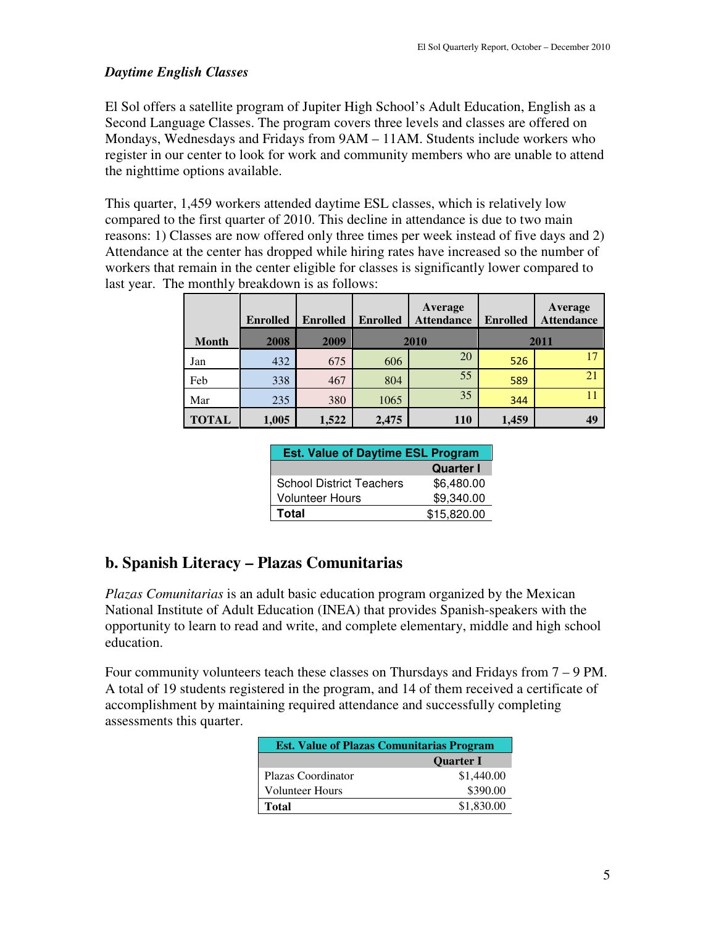#### *Daytime English Classes*

El Sol offers a satellite program of Jupiter High School's Adult Education, English as a Second Language Classes. The program covers three levels and classes are offered on Mondays, Wednesdays and Fridays from 9AM – 11AM. Students include workers who register in our center to look for work and community members who are unable to attend the nighttime options available.

This quarter, 1,459 workers attended daytime ESL classes, which is relatively low compared to the first quarter of 2010. This decline in attendance is due to two main reasons: 1) Classes are now offered only three times per week instead of five days and 2) Attendance at the center has dropped while hiring rates have increased so the number of workers that remain in the center eligible for classes is significantly lower compared to last year. The monthly breakdown is as follows:

|              | <b>Enrolled</b> | <b>Enrolled</b> | <b>Enrolled</b> | Average<br><b>Attendance</b> | <b>Enrolled</b> | Average<br><b>Attendance</b> |
|--------------|-----------------|-----------------|-----------------|------------------------------|-----------------|------------------------------|
| <b>Month</b> | 2008            | 2009            |                 | 2010                         |                 | 2011                         |
| Jan          | 432             | 675             | 606             | 20                           | 526             | 17                           |
| Feb          | 338             | 467             | 804             | 55                           | 589             | 21                           |
| Mar          | 235             | 380             | 1065            | 35                           | 344             |                              |
| <b>TOTAL</b> | 1,005           | 1,522           | 2,475           | <b>110</b>                   | 1,459           | 49                           |

| <b>Est. Value of Daytime ESL Program</b> |                  |  |  |  |  |
|------------------------------------------|------------------|--|--|--|--|
|                                          | <b>Quarter I</b> |  |  |  |  |
| <b>School District Teachers</b>          | \$6,480.00       |  |  |  |  |
| <b>Volunteer Hours</b>                   | \$9,340.00       |  |  |  |  |
| Total                                    | \$15,820.00      |  |  |  |  |

### **b. Spanish Literacy – Plazas Comunitarias**

*Plazas Comunitarias* is an adult basic education program organized by the Mexican National Institute of Adult Education (INEA) that provides Spanish-speakers with the opportunity to learn to read and write, and complete elementary, middle and high school education.

Four community volunteers teach these classes on Thursdays and Fridays from 7 – 9 PM. A total of 19 students registered in the program, and 14 of them received a certificate of accomplishment by maintaining required attendance and successfully completing assessments this quarter.

| <b>Est. Value of Plazas Comunitarias Program</b> |                  |  |  |  |
|--------------------------------------------------|------------------|--|--|--|
|                                                  | <b>Quarter I</b> |  |  |  |
| Plazas Coordinator                               | \$1,440.00       |  |  |  |
| Volunteer Hours                                  | \$390.00         |  |  |  |
| <b>Total</b>                                     | \$1,830.00       |  |  |  |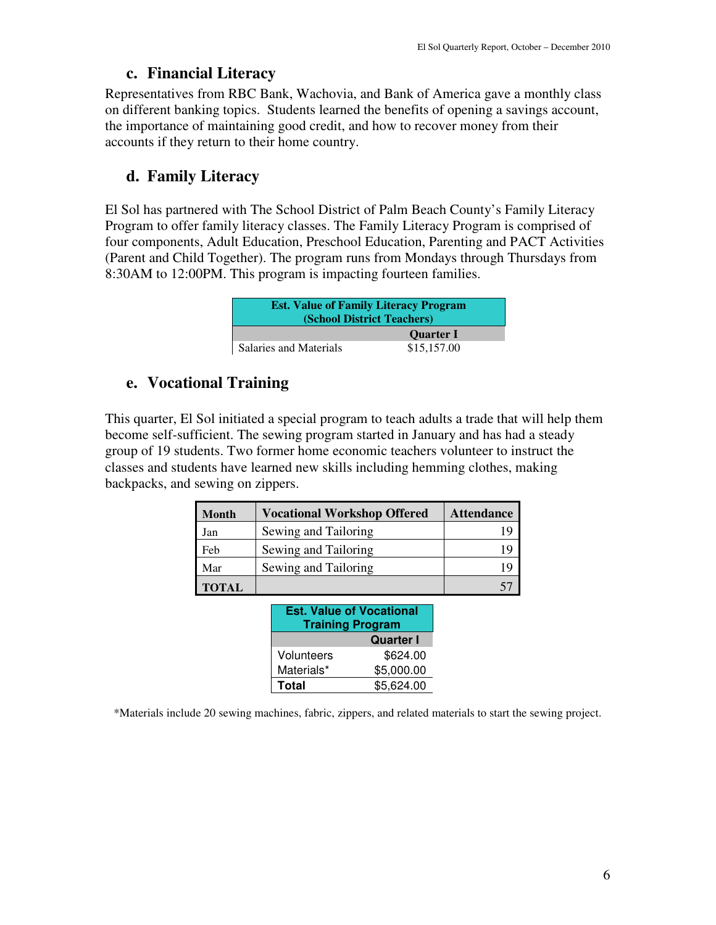### **c. Financial Literacy**

Representatives from RBC Bank, Wachovia, and Bank of America gave a monthly class on different banking topics. Students learned the benefits of opening a savings account, the importance of maintaining good credit, and how to recover money from their accounts if they return to their home country.

## **d. Family Literacy**

El Sol has partnered with The School District of Palm Beach County's Family Literacy Program to offer family literacy classes. The Family Literacy Program is comprised of four components, Adult Education, Preschool Education, Parenting and PACT Activities (Parent and Child Together). The program runs from Mondays through Thursdays from 8:30AM to 12:00PM. This program is impacting fourteen families.

| <b>Est. Value of Family Literacy Program</b><br>(School District Teachers) |                  |  |
|----------------------------------------------------------------------------|------------------|--|
|                                                                            | <b>Ouarter I</b> |  |
| <b>Salaries and Materials</b>                                              | \$15,157.00      |  |

## **e. Vocational Training**

This quarter, El Sol initiated a special program to teach adults a trade that will help them become self-sufficient. The sewing program started in January and has had a steady group of 19 students. Two former home economic teachers volunteer to instruct the classes and students have learned new skills including hemming clothes, making backpacks, and sewing on zippers.

| Month        | <b>Vocational Workshop Offered</b> | <b>Attendance</b> |
|--------------|------------------------------------|-------------------|
| Jan          | Sewing and Tailoring               |                   |
| Feb          | Sewing and Tailoring               |                   |
| Mar          | Sewing and Tailoring               |                   |
| <b>TOTAL</b> |                                    |                   |

| <b>Est. Value of Vocational</b><br><b>Training Program</b> |                  |  |
|------------------------------------------------------------|------------------|--|
|                                                            | <b>Quarter I</b> |  |
| Volunteers                                                 | \$624.00         |  |
| Materials*                                                 | \$5,000.00       |  |
| Total                                                      | \$5,624.00       |  |

\*Materials include 20 sewing machines, fabric, zippers, and related materials to start the sewing project.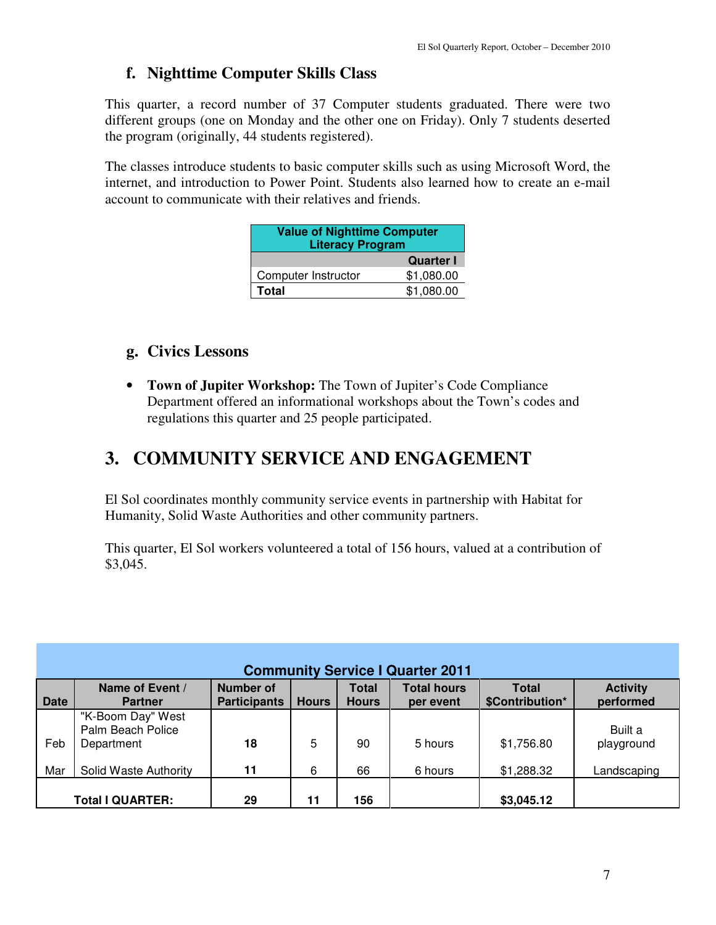### **f. Nighttime Computer Skills Class**

This quarter, a record number of 37 Computer students graduated. There were two different groups (one on Monday and the other one on Friday). Only 7 students deserted the program (originally, 44 students registered).

The classes introduce students to basic computer skills such as using Microsoft Word, the internet, and introduction to Power Point. Students also learned how to create an e-mail account to communicate with their relatives and friends.

| <b>Value of Nighttime Computer</b><br><b>Literacy Program</b> |                  |  |
|---------------------------------------------------------------|------------------|--|
|                                                               | <b>Quarter I</b> |  |
| Computer Instructor                                           | \$1,080.00       |  |
| Total                                                         | \$1,080.00       |  |

#### **g. Civics Lessons**

• **Town of Jupiter Workshop:** The Town of Jupiter's Code Compliance Department offered an informational workshops about the Town's codes and regulations this quarter and 25 people participated.

## **3. COMMUNITY SERVICE AND ENGAGEMENT**

El Sol coordinates monthly community service events in partnership with Habitat for Humanity, Solid Waste Authorities and other community partners.

This quarter, El Sol workers volunteered a total of 156 hours, valued at a contribution of \$3,045.

| <b>Community Service I Quarter 2011</b> |                                                      |                                  |              |                              |                                 |                                 |                              |
|-----------------------------------------|------------------------------------------------------|----------------------------------|--------------|------------------------------|---------------------------------|---------------------------------|------------------------------|
| Date                                    | Name of Event /<br><b>Partner</b>                    | Number of<br><b>Participants</b> | <b>Hours</b> | <b>Total</b><br><b>Hours</b> | <b>Total hours</b><br>per event | <b>Total</b><br>\$Contribution* | <b>Activity</b><br>performed |
| Feb                                     | "K-Boom Day" West<br>Palm Beach Police<br>Department | 18                               | 5            | 90                           | 5 hours                         | \$1,756.80                      | Built a<br>playground        |
| Mar                                     | Solid Waste Authority                                | 11                               | 6            | 66                           | 6 hours                         | \$1,288.32                      | Landscaping                  |
|                                         | <b>Total I QUARTER:</b>                              | 29                               | 11           | 156                          |                                 | \$3,045.12                      |                              |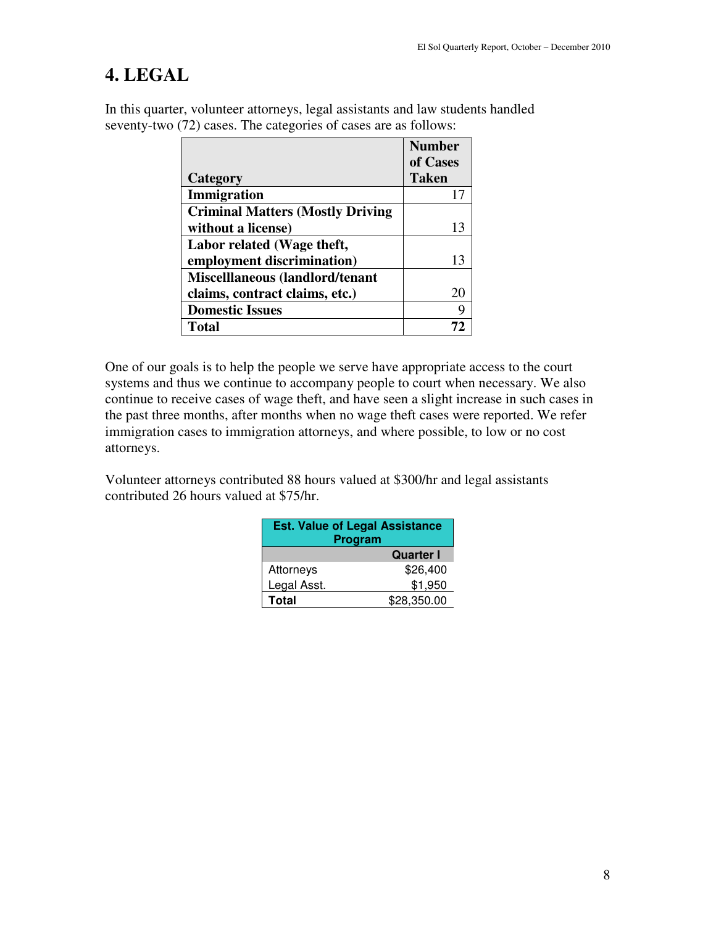## **4. LEGAL**

|                                         | <b>Number</b><br>of Cases |
|-----------------------------------------|---------------------------|
| Category                                | <b>Taken</b>              |
| Immigration                             |                           |
| <b>Criminal Matters (Mostly Driving</b> |                           |
| without a license)                      | 13                        |
| Labor related (Wage theft,              |                           |
| employment discrimination)              | 13                        |
| Miscelllaneous (landlord/tenant         |                           |
| claims, contract claims, etc.)          | 20                        |
| <b>Domestic Issues</b>                  | g                         |
| Total                                   |                           |

In this quarter, volunteer attorneys, legal assistants and law students handled seventy-two (72) cases. The categories of cases are as follows:

One of our goals is to help the people we serve have appropriate access to the court systems and thus we continue to accompany people to court when necessary. We also continue to receive cases of wage theft, and have seen a slight increase in such cases in the past three months, after months when no wage theft cases were reported. We refer immigration cases to immigration attorneys, and where possible, to low or no cost attorneys.

Volunteer attorneys contributed 88 hours valued at \$300/hr and legal assistants contributed 26 hours valued at \$75/hr.

| <b>Est. Value of Legal Assistance</b><br>Program |                  |  |
|--------------------------------------------------|------------------|--|
|                                                  | <b>Quarter I</b> |  |
| Attorneys                                        | \$26,400         |  |
| Legal Asst.                                      | \$1,950          |  |
| Total                                            | \$28,350.00      |  |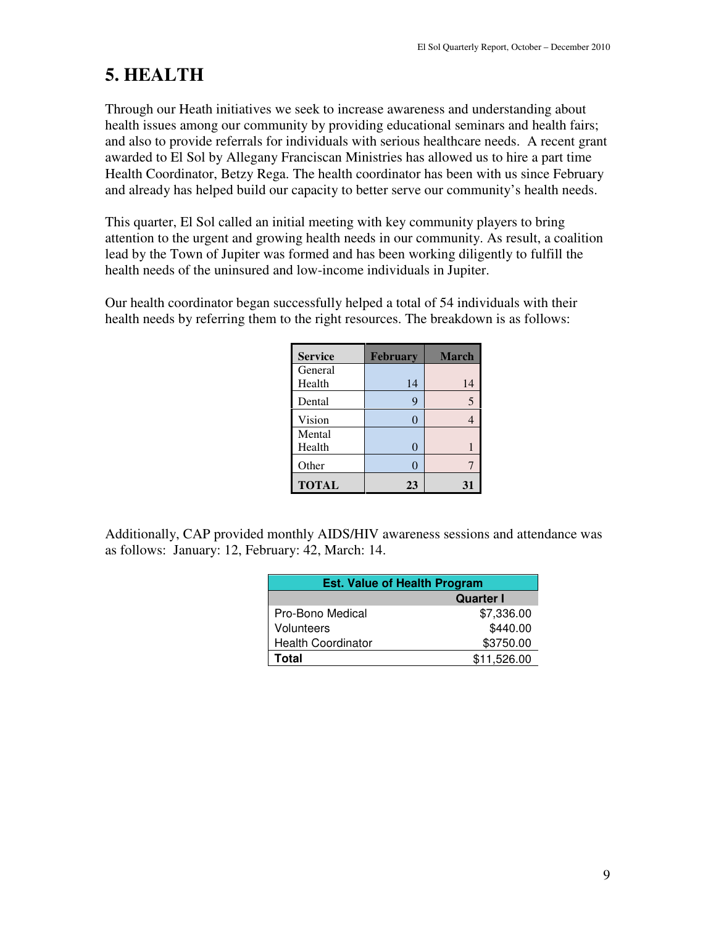## **5. HEALTH**

Through our Heath initiatives we seek to increase awareness and understanding about health issues among our community by providing educational seminars and health fairs; and also to provide referrals for individuals with serious healthcare needs. A recent grant awarded to El Sol by Allegany Franciscan Ministries has allowed us to hire a part time Health Coordinator, Betzy Rega. The health coordinator has been with us since February and already has helped build our capacity to better serve our community's health needs.

This quarter, El Sol called an initial meeting with key community players to bring attention to the urgent and growing health needs in our community. As result, a coalition lead by the Town of Jupiter was formed and has been working diligently to fulfill the health needs of the uninsured and low-income individuals in Jupiter.

Our health coordinator began successfully helped a total of 54 individuals with their health needs by referring them to the right resources. The breakdown is as follows:

| <b>Service</b> | <b>February</b> | <b>March</b> |
|----------------|-----------------|--------------|
| General        |                 |              |
| Health         | 14              | 14           |
| Dental         | 9               | 5            |
| Vision         | $\Omega$        |              |
| Mental         |                 |              |
| Health         | $\Omega$        |              |
| Other          | $\Omega$        |              |
| <b>TOTAL</b>   | 23              | 31           |

Additionally, CAP provided monthly AIDS/HIV awareness sessions and attendance was as follows: January: 12, February: 42, March: 14.

| <b>Est. Value of Health Program</b> |             |  |
|-------------------------------------|-------------|--|
| <b>Quarter I</b>                    |             |  |
| Pro-Bono Medical                    | \$7,336.00  |  |
| Volunteers                          | \$440.00    |  |
| <b>Health Coordinator</b>           | \$3750.00   |  |
| Total                               | \$11,526.00 |  |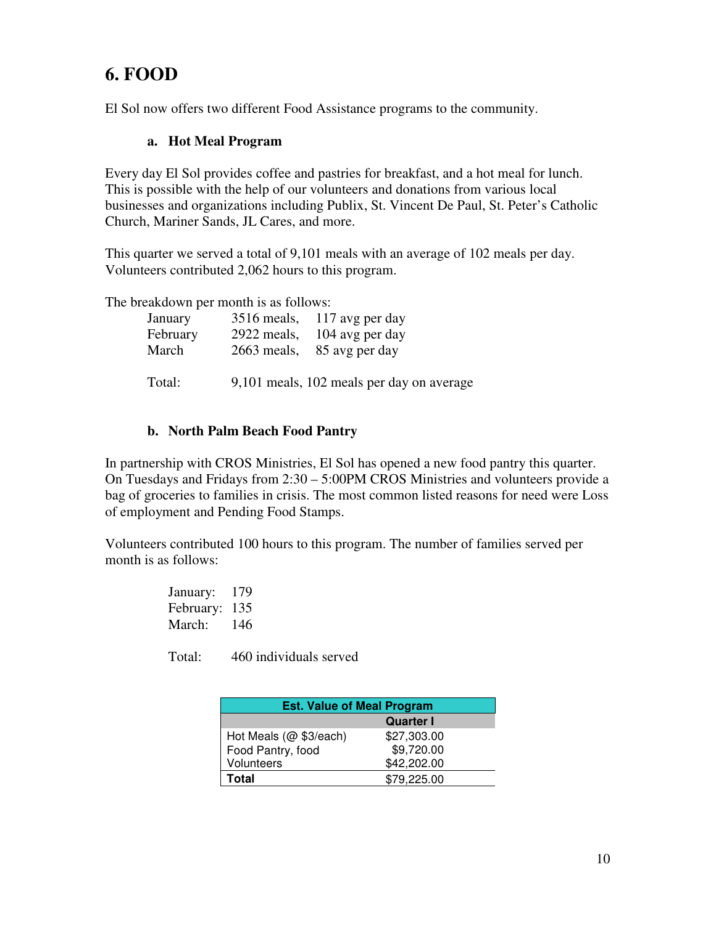## **6. FOOD**

El Sol now offers two different Food Assistance programs to the community.

#### **a. Hot Meal Program**

Every day El Sol provides coffee and pastries for breakfast, and a hot meal for lunch. This is possible with the help of our volunteers and donations from various local businesses and organizations including Publix, St. Vincent De Paul, St. Peter's Catholic Church, Mariner Sands, JL Cares, and more.

This quarter we served a total of 9,101 meals with an average of 102 meals per day. Volunteers contributed 2,062 hours to this program.

The breakdown per month is as follows:

| January  |               | 3516 meals, 117 avg per day               |
|----------|---------------|-------------------------------------------|
| February | $2922$ meals, | 104 avg per day                           |
| March    |               | 2663 meals, 85 avg per day                |
|          |               |                                           |
| Total:   |               | 9,101 meals, 102 meals per day on average |

#### **b. North Palm Beach Food Pantry**

In partnership with CROS Ministries, El Sol has opened a new food pantry this quarter. On Tuesdays and Fridays from 2:30 – 5:00PM CROS Ministries and volunteers provide a bag of groceries to families in crisis. The most common listed reasons for need were Loss of employment and Pending Food Stamps.

Volunteers contributed 100 hours to this program. The number of families served per month is as follows:

> January: 179 February: 135 March: 146

Total: 460 individuals served

| <b>Est. Value of Meal Program</b> |             |  |  |
|-----------------------------------|-------------|--|--|
| <b>Quarter I</b>                  |             |  |  |
| Hot Meals (@ \$3/each)            | \$27,303.00 |  |  |
| Food Pantry, food                 | \$9,720.00  |  |  |
| Volunteers                        | \$42,202.00 |  |  |
| \$79,225.00<br>Total              |             |  |  |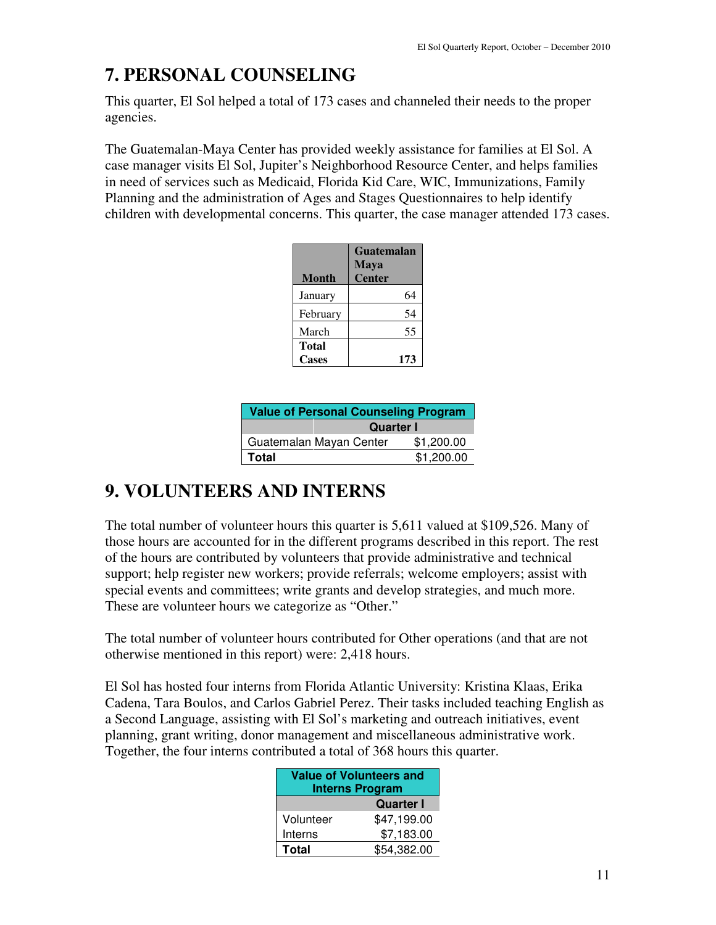## **7. PERSONAL COUNSELING**

This quarter, El Sol helped a total of 173 cases and channeled their needs to the proper agencies.

The Guatemalan-Maya Center has provided weekly assistance for families at El Sol. A case manager visits El Sol, Jupiter's Neighborhood Resource Center, and helps families in need of services such as Medicaid, Florida Kid Care, WIC, Immunizations, Family Planning and the administration of Ages and Stages Questionnaires to help identify children with developmental concerns. This quarter, the case manager attended 173 cases.

| <b>Month</b> | <b>Guatemalan</b><br>Maya<br><b>Center</b> |
|--------------|--------------------------------------------|
| January      | 64                                         |
| February     | 54                                         |
| March        | 55                                         |
| <b>Total</b> |                                            |
| <b>Cases</b> | 173                                        |

| <b>Value of Personal Counseling Program</b> |  |  |
|---------------------------------------------|--|--|
| <b>Quarter I</b>                            |  |  |
| Guatemalan Mayan Center<br>\$1,200.00       |  |  |
| \$1,200.00<br>Total                         |  |  |

## **9. VOLUNTEERS AND INTERNS**

The total number of volunteer hours this quarter is 5,611 valued at \$109,526. Many of those hours are accounted for in the different programs described in this report. The rest of the hours are contributed by volunteers that provide administrative and technical support; help register new workers; provide referrals; welcome employers; assist with special events and committees; write grants and develop strategies, and much more. These are volunteer hours we categorize as "Other."

The total number of volunteer hours contributed for Other operations (and that are not otherwise mentioned in this report) were: 2,418 hours.

El Sol has hosted four interns from Florida Atlantic University: Kristina Klaas, Erika Cadena, Tara Boulos, and Carlos Gabriel Perez. Their tasks included teaching English as a Second Language, assisting with El Sol's marketing and outreach initiatives, event planning, grant writing, donor management and miscellaneous administrative work. Together, the four interns contributed a total of 368 hours this quarter.

| <b>Value of Volunteers and</b><br><b>Interns Program</b> |                  |
|----------------------------------------------------------|------------------|
|                                                          | <b>Quarter I</b> |
| Volunteer                                                | \$47,199.00      |
| Interns                                                  | \$7,183.00       |
| Total                                                    | \$54,382.00      |